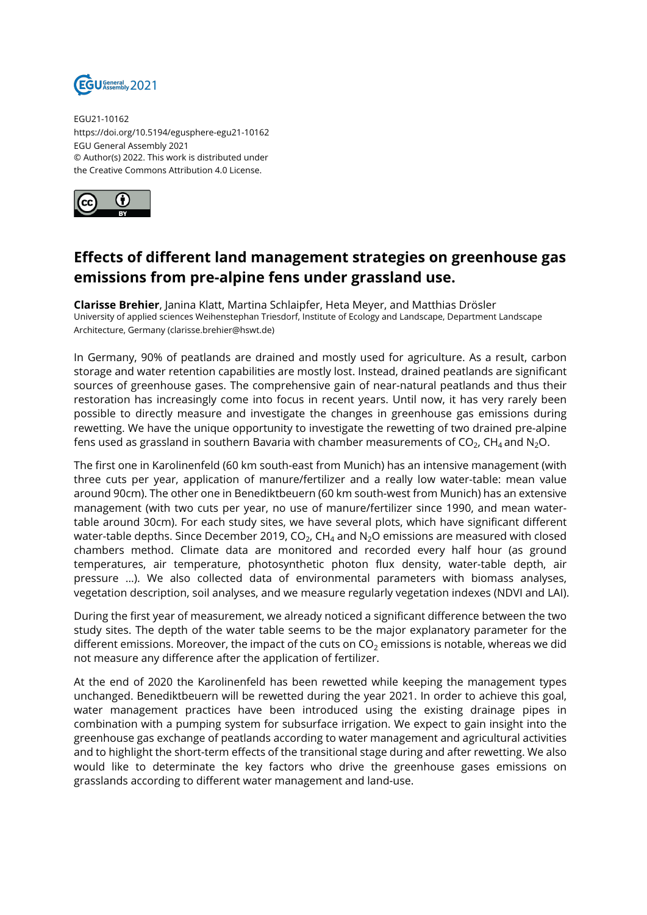

EGU21-10162 https://doi.org/10.5194/egusphere-egu21-10162 EGU General Assembly 2021 © Author(s) 2022. This work is distributed under the Creative Commons Attribution 4.0 License.



## **Effects of different land management strategies on greenhouse gas emissions from pre-alpine fens under grassland use.**

**Clarisse Brehier**, Janina Klatt, Martina Schlaipfer, Heta Meyer, and Matthias Drösler University of applied sciences Weihenstephan Triesdorf, Institute of Ecology and Landscape, Department Landscape Architecture, Germany (clarisse.brehier@hswt.de)

In Germany, 90% of peatlands are drained and mostly used for agriculture. As a result, carbon storage and water retention capabilities are mostly lost. Instead, drained peatlands are significant sources of greenhouse gases. The comprehensive gain of near-natural peatlands and thus their restoration has increasingly come into focus in recent years. Until now, it has very rarely been possible to directly measure and investigate the changes in greenhouse gas emissions during rewetting. We have the unique opportunity to investigate the rewetting of two drained pre-alpine fens used as grassland in southern Bavaria with chamber measurements of CO $_2$ , CH $_4$  and N $_2$ O.

The first one in Karolinenfeld (60 km south-east from Munich) has an intensive management (with three cuts per year, application of manure/fertilizer and a really low water-table: mean value around 90cm). The other one in Benediktbeuern (60 km south-west from Munich) has an extensive management (with two cuts per year, no use of manure/fertilizer since 1990, and mean watertable around 30cm). For each study sites, we have several plots, which have significant different water-table depths. Since December 2019, CO $_2$ , CH $_4$  and N $_2$ O emissions are measured with closed chambers method. Climate data are monitored and recorded every half hour (as ground temperatures, air temperature, photosynthetic photon flux density, water-table depth, air pressure …). We also collected data of environmental parameters with biomass analyses, vegetation description, soil analyses, and we measure regularly vegetation indexes (NDVI and LAI).

During the first year of measurement, we already noticed a significant difference between the two study sites. The depth of the water table seems to be the major explanatory parameter for the different emissions. Moreover, the impact of the cuts on  $CO<sub>2</sub>$  emissions is notable, whereas we did not measure any difference after the application of fertilizer.

At the end of 2020 the Karolinenfeld has been rewetted while keeping the management types unchanged. Benediktbeuern will be rewetted during the year 2021. In order to achieve this goal, water management practices have been introduced using the existing drainage pipes in combination with a pumping system for subsurface irrigation. We expect to gain insight into the greenhouse gas exchange of peatlands according to water management and agricultural activities and to highlight the short-term effects of the transitional stage during and after rewetting. We also would like to determinate the key factors who drive the greenhouse gases emissions on grasslands according to different water management and land-use.